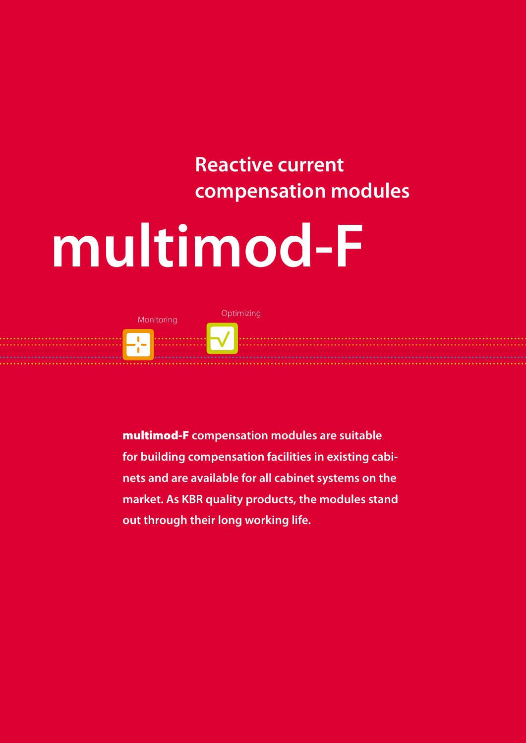## **Reactive current compensation modules**

# **multimod-F**



multimod-F **compensation modules are suitable for building compensation facilities in existing cabinets and are available for all cabinet systems on the market. As KBR quality products, the modules stand out through their long working life.**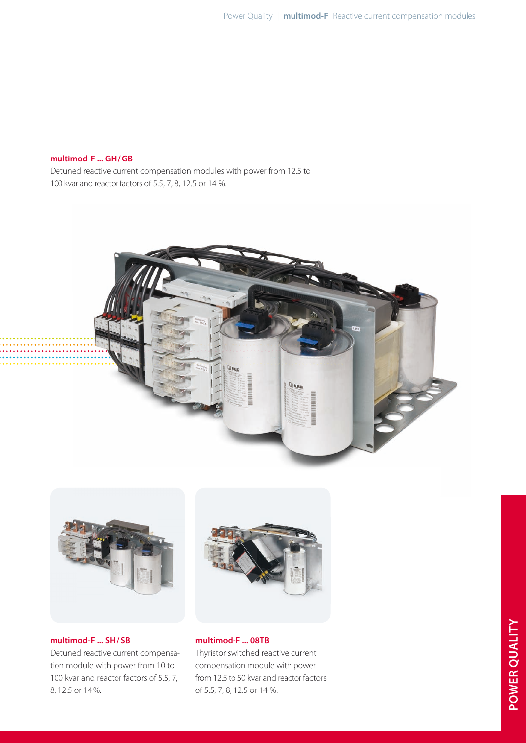#### **multimod-F ... gh / gB**

Detuned reactive current compensation modules with power from 12.5 to 100 kvar and reactor factors of 5.5, 7, 8, 12.5 or 14 %.





**multimod-F ... sh / sB** Detuned reactive current compensation module with power from 10 to 100 kvar and reactor factors of 5.5, 7, 8, 12.5 or 14 %.



## **multimod-F ... 08TB**

Thyristor switched reactive current compensation module with power from 12.5 to 50 kvar and reactor factors of 5.5, 7, 8, 12.5 or 14 %.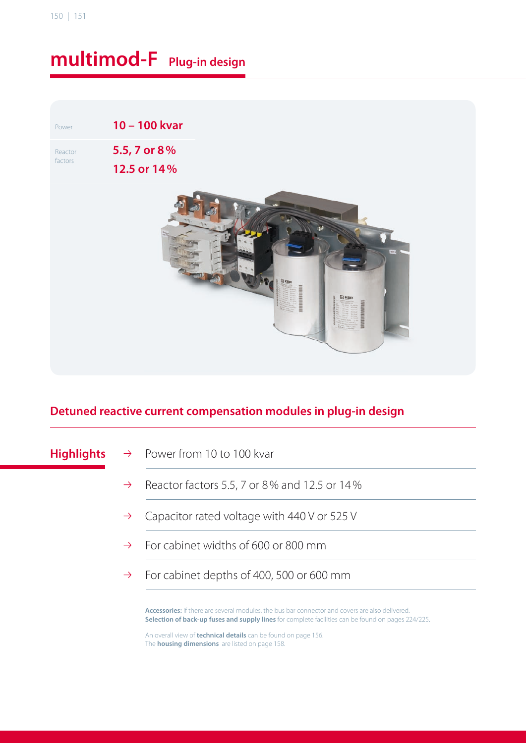# **multimod-F Plug-in design**

Power **10 – 100 kvar** Reactor factors **5.5, 7 or 8 % 12.5 or 14 %**



## **detuned reactive current compensation modules in plug-in design**

- **Highlights**  $\rightarrow$  Power from 10 to 100 kvar
	- $\rightarrow$  Reactor factors 5.5, 7 or 8% and 12.5 or 14%
	- $\rightarrow$  Capacitor rated voltage with 440 V or 525 V
	- $\rightarrow$  For cabinet widths of 600 or 800 mm
	- $\rightarrow$  For cabinet depths of 400, 500 or 600 mm

**accessories:** If there are several modules, the bus bar connector and covers are also delivered. **selection of back-up fuses and supply lines** for complete facilities can be found on pages 224/225.

An overall view of **technical details** can be found on page 156. The **housing dimensions** are listed on page 158.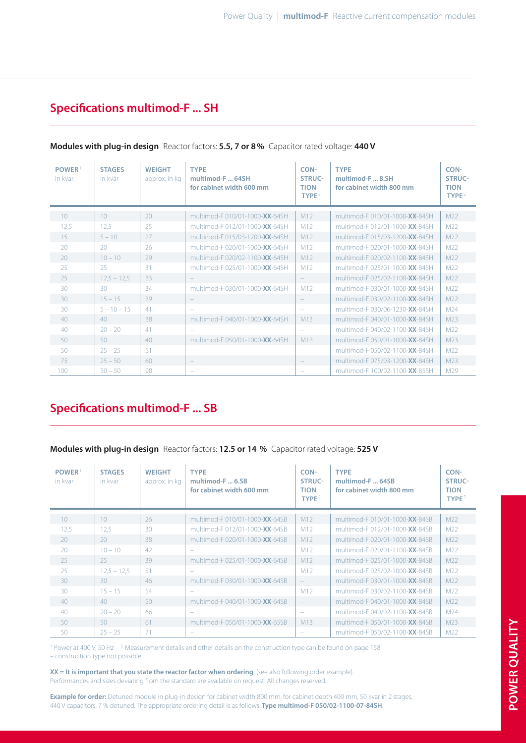## **specifications multimod-F ... sh**

| <b>POWER</b><br>in kvar | <b>STAGES</b><br>in kvar | <b>WEIGHT</b><br>approx. in kg | <b>TYPE</b><br>multimod-F 64SH<br>for cabinet width 600 mm | CON-<br>STRUC-<br><b>TION</b><br>TYPE <sup>2</sup> | <b>TYPE</b><br>multimod-F  8.SH<br>for cabinet width 800 mm | CON-<br><b>STRUC-</b><br><b>TION</b><br>TYPE <sup>2</sup> |
|-------------------------|--------------------------|--------------------------------|------------------------------------------------------------|----------------------------------------------------|-------------------------------------------------------------|-----------------------------------------------------------|
| 10 <sup>°</sup>         | 10 <sup>°</sup>          | 20                             | multimod-F 010/01-1000-XX-64SH                             | M12                                                | multimod-F 010/01-1000-XX-84SH                              | M <sub>22</sub>                                           |
| 12,5                    | 12,5                     | 25                             | multimod-F 012/01-1000-XX-64SH                             | M12                                                | multimod-F 012/01-1000-XX-84SH                              | M <sub>22</sub>                                           |
| 15                      | $5 - 10$                 | 27                             | multimod-F 015/03-1200-XX-64SH                             | M <sub>12</sub>                                    | multimod-F 015/03-1200-XX-84SH                              | M <sub>22</sub>                                           |
| 20                      | 20                       | 26                             | multimod-E020/01-1000-XX-64SH                              | M12                                                | multimod-E020/01-1000-XX-84SH                               | M22                                                       |
| 20                      | $10 - 10$                | 29                             | multimod-E020/02-1100-XX-64SH                              | M12                                                | multimod-E020/02-1100-XX-84SH                               | M22                                                       |
| 25                      | 25                       | 31                             | multimod-F 025/01-1000-XX-64SH                             | M12                                                | multimod-E025/01-1000-XX-84SH                               | M22                                                       |
| 25                      | $12.5 - 12.5$            | 33                             |                                                            | $\overline{\phantom{a}}$                           | multimod-F 025/02-1100-XX-84SH                              | M <sub>22</sub>                                           |
| 30 <sub>o</sub>         | $30^{\circ}$             | 34                             | multimod-F 030/01-1000-XX-64SH                             | M12                                                | multimod-E030/01-1000-XX-84SH                               | M <sub>22</sub>                                           |
| 30                      | $15 - 15$                | 39                             | $\overline{\phantom{m}}$                                   | $\equiv$                                           | multimod-E030/02-1100-XX-84SH                               | M <sub>22</sub>                                           |
| 30                      | $5 - 10 - 15$            | 41                             |                                                            | $\frac{1}{2}$                                      | multimod-F 030/06-1230-XX-84SH                              | M24                                                       |
| 40                      | 40                       | 38                             | multimod-F 040/01-1000-XX-64SH                             | M13                                                | multimod-F 040/01-1000-XX-84SH                              | M <sub>23</sub>                                           |
| 40                      | $20 - 20$                | 41                             |                                                            | $\overline{\phantom{0}}$                           | multimod-F 040/02-1100-XX-84SH                              | M <sub>22</sub>                                           |
| 50                      | 50                       | 40                             | multimod-E 050/01-1000-XX-64SH                             | M13                                                | multimod-F 050/01-1000-XX-84SH                              | M <sub>23</sub>                                           |
| 50                      | $25 - 25$                | -51                            | $\equiv$                                                   | ÷                                                  | multimod-F 050/02-1100-XX-84SH                              | M <sub>22</sub>                                           |
| 75                      | $25 - 50$                | 60                             | $\overline{\phantom{a}}$                                   | $\qquad \qquad -$                                  | multimod-F 075/03-1200-XX-84SH                              | M23                                                       |
| 100                     | $50 - 50$                | 98                             |                                                            |                                                    | multimod-F 100/02-1100-XX-85SH                              | M29                                                       |

#### **modules with plug-in design** Reactor factors: **5.5, 7 or 8 %** Capacitor rated voltage: **440 V**

#### **specifications multimod-F ... sB**

#### **modules with plug-in design** Reactor factors: **12.5 or 14 %** Capacitor rated voltage: **525 V**

| <b>POWER</b><br>in kvar | <b>STAGES</b><br>in kvar | <b>WEIGHT</b><br>approx. in kg | <b>TYPE</b><br>multimod-F 6.SB<br>for cabinet width 600 mm | CON-<br><b>STRUC-</b><br><b>TION</b><br>TYPE <sup>2</sup> | <b>TYPE</b><br>multimod-F  64SB<br>for cabinet width 800 mm | CON-<br><b>STRUC-</b><br><b>TION</b><br>TYPE $^2$ |
|-------------------------|--------------------------|--------------------------------|------------------------------------------------------------|-----------------------------------------------------------|-------------------------------------------------------------|---------------------------------------------------|
| 10                      | 10                       | 26                             | multimod-F 010/01-1000-XX-64SB                             | M <sub>12</sub>                                           | multimod-F 010/01-1000-XX-84SB                              | M <sub>22</sub>                                   |
| 12,5                    | 12,5                     | 30                             | multimod-E 012/01-1000-XX-64SB                             | M12                                                       | multimod-E 012/01-1000-XX-84SB                              | M <sub>22</sub>                                   |
| 20                      | 20                       | 38                             | multimod-F 020/01-1000-XX-64SB                             | M12                                                       | multimod-F 020/01-1000-XX-84SB                              | M22                                               |
| 20                      | $10 - 10$                | 42                             |                                                            | M12                                                       | multimod-E020/01-1100-XX-84SB                               | M <sub>22</sub>                                   |
| 25                      | 25                       | 39                             | multimod-F 025/01-1000-XX-64SB                             | M12                                                       | multimod-F 025/01-1000-XX-84SB                              | M22                                               |
| 25                      | $12.5 - 12.5$            | 51                             | $\overline{\phantom{a}}$                                   | M12                                                       | multimod-E025/02-1000-XX-84SB                               | M22                                               |
| $30^{\circ}$            | $30^{\circ}$             | 46                             | multimod-F 030/01-1000-XX-64SB                             | $\equiv$                                                  | multimod-F 030/01-1000-XX-84SB                              | M22                                               |
| 30                      | $15 - 15$                | 54                             |                                                            | M12                                                       | multimod-F 030/02-1100-XX-84SB                              | M <sub>22</sub>                                   |
| 40                      | 40                       | 50                             | multimod-F 040/01-1000-XX-64SB                             | $\equiv$                                                  | multimod-F 040/01-1000-XX-84SB                              | M22                                               |
| 40                      | $20 - 20$                | 66                             | $\overline{\phantom{a}}$                                   | -                                                         | multimod-F 040/02-1100-XX-84SB                              | M24                                               |
| 50                      | 50                       | 61                             | multimod-E050/01-1000-XX-65SB                              | M13                                                       | multimod-F 050/01-1000-XX-84SB                              | M23                                               |
| 50                      | $25 - 25$                | 71                             |                                                            |                                                           | multimod-F 050/02-1100-XX-84SB                              | M22                                               |

<sup>1</sup> Power at 400 V, 50 Hz <sup>2</sup> Measurement details and other details on the construction type can be found on page 158 – construction type not possible

**xx = it is important that you state the reactor factor when ordering** (see also following order example). Performances and sizes deviating from the standard are available on request. All changes reserved.

Example for order: Detuned module in plug-in design for cabinet width 800 mm, for cabinet depth 400 mm, 50 kvar in 2 stages, 440 v capacitors, 7 % detuned. The appropriate ordering detail is as follows: **type multimod-F 050/02-1100-07-84sh**.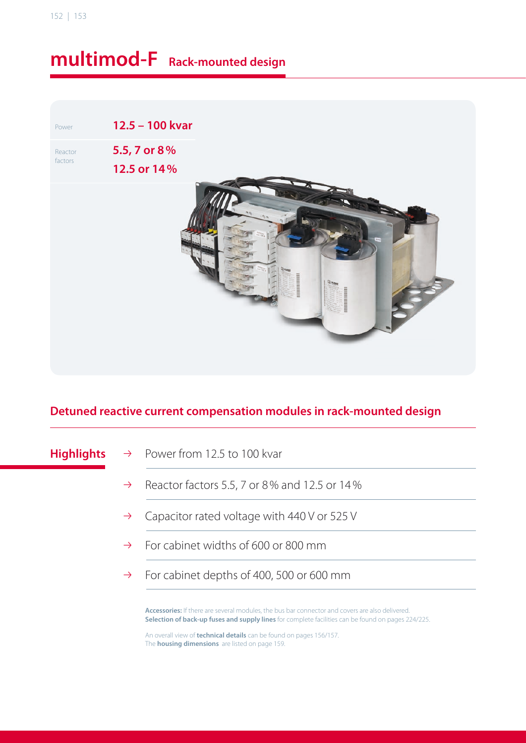## **multimod-F Rack-mounted design**

Power **12.5 – 100 kvar** Reactor factors **5.5, 7 or 8 % 12.5 or 14 %**

## **detuned reactive current compensation modules in rack-mounted design**

- **Highlights**  $\rightarrow$  Power from 12.5 to 100 kvar
	- $\rightarrow$  Reactor factors 5.5, 7 or 8% and 12.5 or 14%
	- $\rightarrow$  Capacitor rated voltage with 440 V or 525 V
	- $\rightarrow$  For cabinet widths of 600 or 800 mm
	- $\rightarrow$  For cabinet depths of 400, 500 or 600 mm

**accessories:** If there are several modules, the bus bar connector and covers are also delivered. **selection of back-up fuses and supply lines** for complete facilities can be found on pages 224/225.

An overall view of **technical details** can be found on pages 156/157. The **housing dimensions** are listed on page 159.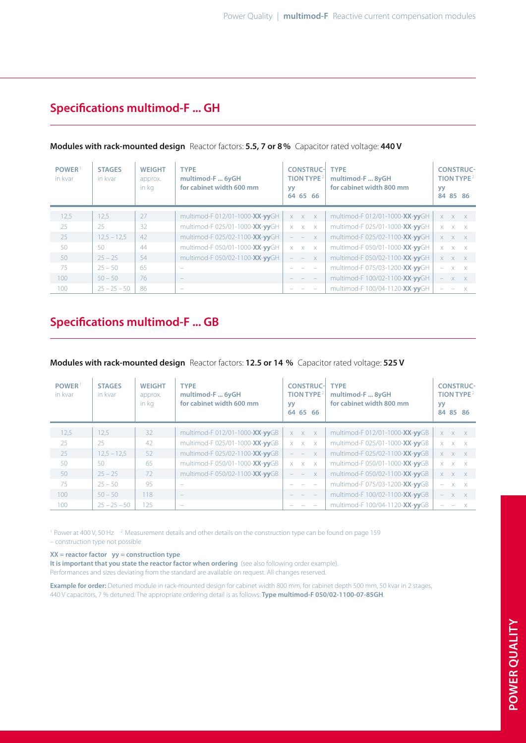## **specifications multimod-F ... gh**

| POWER <sup>1</sup><br>in kvar | <b>STAGES</b><br>in kvar | <b>WEIGHT</b><br>approx.<br>in kg | <b>TYPE</b><br>multimod-F  6yGH<br>for cabinet width 600 mm | <b>CONSTRUC-</b><br>TION TYPE <sup>2</sup><br><b>yy</b><br>64 65<br>66 | <b>TYPE</b><br>multimod-F  8yGH<br>for cabinet width 800 mm | <b>yy</b>                | <b>CONSTRUC-</b><br><b>TION TYPE</b> <sup>2</sup><br>84 85 86 |
|-------------------------------|--------------------------|-----------------------------------|-------------------------------------------------------------|------------------------------------------------------------------------|-------------------------------------------------------------|--------------------------|---------------------------------------------------------------|
| 12,5                          | 12,5                     | 27                                | multimod-F 012/01-1000-XX-yyGH                              | $X \times X$                                                           | multimod-F 012/01-1000-XX-yyGH                              |                          | $X$ $X$ $X$                                                   |
| 25                            | 25                       | 32                                | multimod-F 025/01-1000-XX-yyGH                              | $X$ $X$ $X$                                                            | multimod-F 025/01-1000-XX-yyGH                              |                          | $X$ $X$ $X$                                                   |
| 25                            | $12,5 - 12,5$            | 42                                | multimod-F 025/02-1100-XX-yyGH                              | $\mathsf{X}$<br>$\mathcal{L}^{\text{max}}$                             | multimod-F 025/02-1100-XX-yyGH                              |                          | $X$ $X$ $X$                                                   |
| 50                            | 50                       | 44                                | multimod-F 050/01-1000-XX-yyGH                              | $X$ $X$ $X$                                                            | multimod-F 050/01-1000-XX-yyGH                              |                          | $X$ $X$ $X$                                                   |
| 50                            | $25 - 25$                | 54                                | multimod-F 050/02-1100-XX-yyGH                              | $\mathsf{X}$<br>$ -$                                                   | multimod-F 050/02-1100-XX-yyGH                              |                          | $X \times X$                                                  |
| 75                            | $25 - 50$                | 65                                |                                                             |                                                                        | multimod-F 075/03-1200-XX-yyGH                              | $\overline{\phantom{a}}$ | $X \times X$                                                  |
| 100                           | $50 - 50$                | 76                                | $\qquad \qquad$                                             |                                                                        | multimod-F 100/02-1100-XX-yyGH                              | $\overline{\phantom{m}}$ | $X$ $X$                                                       |
| 100                           | $25 - 25 - 50$           | 86                                |                                                             |                                                                        | multimod-F 100/04-1120-XX-yyGH                              |                          | $\mathsf{X}$                                                  |

#### **modules with rack-mounted design** Reactor factors: **5.5, 7 or 8 %** Capacitor rated voltage: **440 V**

#### **specifications multimod-F ... gB**

#### **modules with rack-mounted design** Reactor factors: **12.5 or 14 %** Capacitor rated voltage: **525 V**

| <b>POWER</b><br>in kvar | <b>STAGES</b><br>in kvar | <b>WEIGHT</b><br>approx.<br>in kg | <b>TYPE</b><br>multimod-F  6yGH<br>for cabinet width 600 mm | TION TYPE <sup>2</sup><br>yy<br>64 65 66 | <b>CONSTRUC-</b><br><b>TYPE</b><br>multimod-F  8yGH<br>for cabinet width 800 mm |  | <b>CONSTRUC-</b><br><b>TION TYPE</b> <sup>2</sup><br>84 85 86 |
|-------------------------|--------------------------|-----------------------------------|-------------------------------------------------------------|------------------------------------------|---------------------------------------------------------------------------------|--|---------------------------------------------------------------|
| 12,5                    | 12,5                     | 32                                | multimod-F 012/01-1000-XX-yyGB                              | $X \times X$                             | multimod-F 012/01-1000-XX-yyGB                                                  |  | $X \times X$                                                  |
| 25                      | 25                       | 42                                | multimod-F 025/01-1000-XX-yyGB                              | $X$ $X$ $X$                              | multimod-F 025/01-1000-XX-yyGB                                                  |  | $X$ $X$ $X$                                                   |
| 25                      | $12,5 - 12,5$            | 52                                | multimod-F 025/02-1100-XX-yyGB                              | <b>September</b><br>X                    | multimod-F 025/02-1100-XX-yyGB                                                  |  | $X \times X$                                                  |
| 50                      | 50                       | 65                                | multimod-F 050/01-1000-XX-yyGB                              | $X$ $X$ $X$                              | multimod-F 050/01-1000-XX-yyGB                                                  |  | $X$ $X$ $X$                                                   |
| 50                      | $25 - 25$                | 72                                | multimod-F 050/02-1100-XX-yyGB                              | X<br>$\sim$                              | multimod-F 050/02-1100-XX-yyGB                                                  |  | $X$ $X$ $X$                                                   |
| 75                      | $25 - 50$                | 95                                | -                                                           |                                          | multimod-F 075/03-1200-XX-yyGB                                                  |  | $X$ $X$                                                       |
| 100                     | $50 - 50$                | 118                               | $\qquad \qquad -$                                           | $\equiv$                                 | multimod-F 100/02-1100-XX-yyGB                                                  |  | $X$ $X$                                                       |
| 100                     | $25 - 25 - 50$           | 125                               | $\overline{\phantom{a}}$                                    |                                          | multimod-F 100/04-1120-XX-yyGB                                                  |  |                                                               |

<sup>1</sup> Power at 400 V, 50 Hz<sup>2</sup> Measurement details and other details on the construction type can be found on page 159 – construction type not possible

#### **xx = reactor factor yy = construction type**

**it is important that you state the reactor factor when ordering** (see also following order example). Performances and sizes deviating from the standard are available on request. All changes reserved.

Example for order: Detuned module in rack-mounted design for cabinet width 800 mm, for cabinet depth 500 mm, 50 kvar in 2 stages, 440 v capacitors, 7 % detuned. The appropriate ordering detail is as follows: **type multimod-F 050/02-1100-07-85gh**.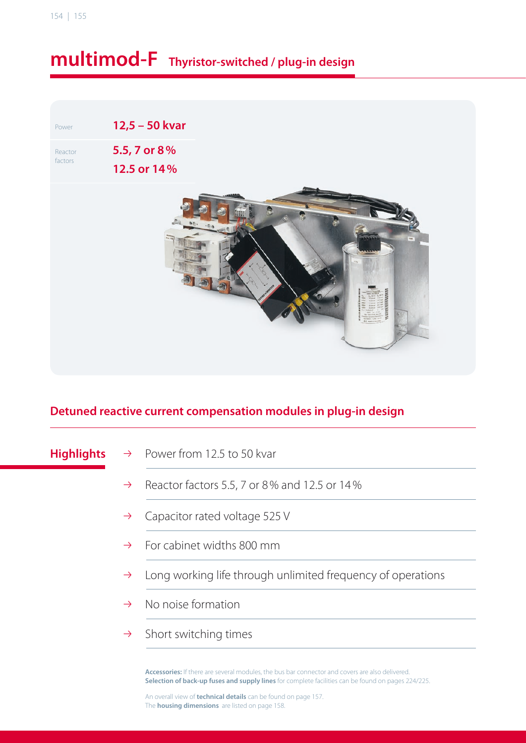## **multimod-F thyristor-switched / plug-in design**

Power **12,5 – 50 kvar** Reactor factors **5.5, 7 or 8 %**



#### **detuned reactive current compensation modules in plug-in design**

- **Highlights**  $\rightarrow$  Power from 12.5 to 50 kvar
	- $\rightarrow$  Reactor factors 5.5, 7 or 8% and 12.5 or 14%
	- $\rightarrow$  Capacitor rated voltage 525 V
	- $\rightarrow$  For cabinet widths 800 mm
	- $\rightarrow$  Long working life through unlimited frequency of operations
	- $\rightarrow$  No noise formation
	- $\rightarrow$  Short switching times

**accessories:** If there are several modules, the bus bar connector and covers are also delivered. **selection of back-up fuses and supply lines** for complete facilities can be found on pages 224/225.

An overall view of **technical details** can be found on page 157. The **housing dimensions** are listed on page 158.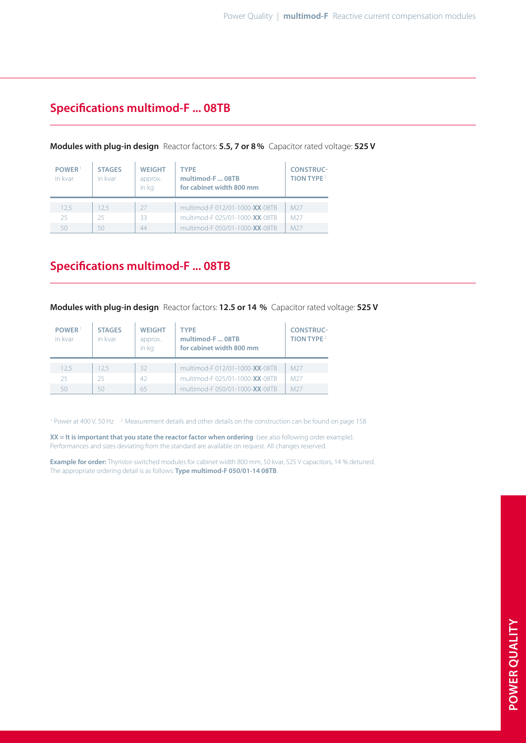#### **Specifications multimod-F ... 08TB**

| POWER <sup>1</sup><br>in kvar | <b>STAGES</b><br>in kvar | <b>WEIGHT</b><br>approx.<br>in ka | <b>TYPE</b><br>multimod-F  08TB<br>for cabinet width 800 mm | <b>CONSTRUC-</b><br>TION TYPE <sup>2</sup> |
|-------------------------------|--------------------------|-----------------------------------|-------------------------------------------------------------|--------------------------------------------|
| 12.5                          | 12.5                     | -27                               | multimod-F 012/01-1000-XX-08TB                              | M <sub>27</sub>                            |
| 25                            | 25                       | 33                                | multimod-F 025/01-1000-XX-08TB                              | M <sub>27</sub>                            |
|                               | 50                       | 44                                | multimod-F 050/01-1000-XX-08TB                              | M <sub>27</sub>                            |

#### **modules with plug-in design** Reactor factors: **5.5, 7 or 8 %** Capacitor rated voltage: **525 V**

#### **Specifications multimod-F ... 08TB**

**modules with plug-in design** Reactor factors: **12.5 or 14 %** Capacitor rated voltage: **525 V**

| POWER <sup>1</sup><br>in kvar | <b>STAGES</b><br>in kvar | <b>WEIGHT</b><br>approx.<br>in ka | <b>TYPE</b><br>multimod-F 08TB<br>for cabinet width 800 mm | <b>CONSTRUC-</b><br>TION TYPE <sup>2</sup> |
|-------------------------------|--------------------------|-----------------------------------|------------------------------------------------------------|--------------------------------------------|
| 12.5                          | 12.5                     | 32                                | multimod-F 012/01-1000-XX-08TB                             | M <sub>27</sub>                            |
| 25.                           | 25                       | 42                                | multimod-F 025/01-1000-XX-08TB                             | M <sub>27</sub>                            |
|                               | 50                       | 65                                | multimod-F 050/01-1000-XX-08TB                             | M <sub>27</sub>                            |

<sup>1</sup> Power at 400 V, 50 Hz <sup>2</sup> Measurement details and other details on the construction can be found on page 158

**xx = it is important that you state the reactor factor when ordering** (see also following order example). Performances and sizes deviating from the standard are available on request. All changes reserved.

**Example for order:** Thyristor-switched modules for cabinet width 800 mm, 50 kvar, 525 v capacitors, 14 % detuned. The appropriate ordering detail is as follows: Type multimod-F 050/01-14 08TB.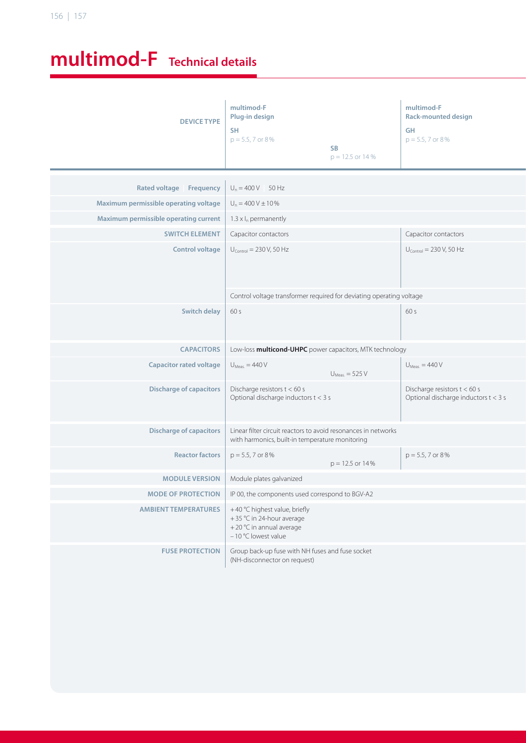# **multimod-F technical details**

| <b>DEVICE TYPE</b>                                | multimod-F<br>Plug-in design<br><b>SH</b><br>$p = 5.5, 7$ or 8%<br>SB<br>$p = 12.5$ or 14 %                       | multimod-F<br><b>Rack-mounted design</b><br>GH<br>$p = 5.5, 7$ or 8% |
|---------------------------------------------------|-------------------------------------------------------------------------------------------------------------------|----------------------------------------------------------------------|
| Rated voltage Frequency $\bigcup_{n=400}$ V 50 Hz |                                                                                                                   |                                                                      |
| Maximum permissible operating voltage             | $U_n = 400 V \pm 10\%$                                                                                            |                                                                      |
| Maximum permissible operating current             | $1.3 \times I_n$ permanently                                                                                      |                                                                      |
| <b>SWITCH ELEMENT</b>                             | Capacitor contactors                                                                                              | Capacitor contactors                                                 |
| <b>Control voltage</b>                            | $U_{\text{Control}} = 230 \text{ V}, 50 \text{ Hz}$                                                               | $U_{\text{Control}} = 230 V, 50 Hz$                                  |
|                                                   | Control voltage transformer required for deviating operating voltage                                              |                                                                      |
| Switch delay $\Big  60 s$                         |                                                                                                                   | 60 s                                                                 |
| <b>CAPACITORS</b>                                 | Low-loss <b>multicond-UHPC</b> power capacitors, MTK technology                                                   |                                                                      |
| <b>Capacitor rated voltage</b>                    | $U_{Meas.} = 440 V$<br>$U_{Meas.} = 525 V$                                                                        | $U_{Meas.} = 440 V$                                                  |
| <b>Discharge of capacitors</b>                    | Discharge resistors t < 60 s<br>Optional discharge inductors t < 3 s                                              | Discharge resistors t < 60 s<br>Optional discharge inductors t < 3 s |
| <b>Discharge of capacitors</b>                    | Linear filter circuit reactors to avoid resonances in networks<br>with harmonics, built-in temperature monitoring |                                                                      |
| <b>Reactor factors</b>                            | $p = 5.5, 7$ or 8%<br>$p = 12.5$ or $14\%$                                                                        | $p = 5.5, 7$ or 8%                                                   |
| <b>MODULE VERSION</b>                             | Module plates galvanized                                                                                          |                                                                      |
| <b>MODE OF PROTECTION</b>                         | IP 00, the components used correspond to BGV-A2                                                                   |                                                                      |
| <b>AMBIENT TEMPERATURES</b>                       | +40 °C highest value, briefly<br>+35 °C in 24-hour average<br>+20 °C in annual average<br>$-10$ °C lowest value   |                                                                      |
| <b>FUSE PROTECTION</b>                            | Group back-up fuse with NH fuses and fuse socket<br>(NH-disconnector on request)                                  |                                                                      |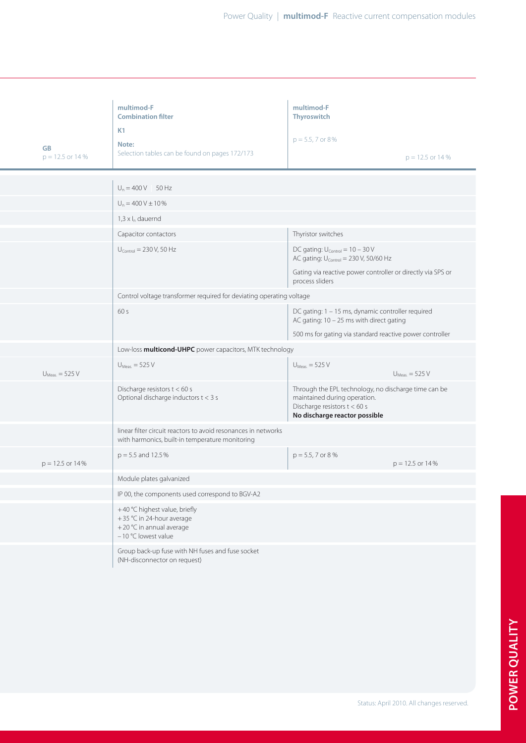|                      | multimod-F<br><b>Combination filter</b>                                                                           | multimod-F<br>Thyroswitch                                                                                                                             |
|----------------------|-------------------------------------------------------------------------------------------------------------------|-------------------------------------------------------------------------------------------------------------------------------------------------------|
|                      | K1                                                                                                                | $p = 5.5, 7$ or 8%                                                                                                                                    |
| GB                   | Note:<br>Selection tables can be found on pages 172/173                                                           |                                                                                                                                                       |
| $p = 12.5$ or 14 %   |                                                                                                                   | $p = 12.5$ or 14 %                                                                                                                                    |
|                      |                                                                                                                   |                                                                                                                                                       |
|                      | $U_n = 400 V$ 50 Hz                                                                                               |                                                                                                                                                       |
|                      | $U_n = 400 V \pm 10 \%$                                                                                           |                                                                                                                                                       |
|                      | $1,3 \times I_n$ dauernd                                                                                          |                                                                                                                                                       |
|                      | Capacitor contactors                                                                                              | Thyristor switches                                                                                                                                    |
|                      | $U_{\text{Control}} = 230 V, 50 Hz$                                                                               | DC gating: $U_{\text{Control}} = 10 - 30 \text{ V}$<br>AC gating: U <sub>Control</sub> = 230 V, 50/60 Hz                                              |
|                      |                                                                                                                   | Gating via reactive power controller or directly via SPS or<br>process sliders                                                                        |
|                      | Control voltage transformer required for deviating operating voltage                                              |                                                                                                                                                       |
|                      | 60 s                                                                                                              | DC gating: 1 - 15 ms, dynamic controller required<br>AC gating: 10 - 25 ms with direct gating                                                         |
|                      |                                                                                                                   | 500 ms for gating via standard reactive power controller                                                                                              |
|                      | Low-loss multicond-UHPC power capacitors, MTK technology                                                          |                                                                                                                                                       |
|                      | $U_{Meas.}$ = 525 V                                                                                               | $U_{Meas.}$ = 525 V                                                                                                                                   |
| $U_{Meas.}$ = 525 V  |                                                                                                                   | $U_{Meas.} = 525 V$                                                                                                                                   |
|                      | Discharge resistors t < 60 s<br>Optional discharge inductors t < 3 s                                              | Through the EPL technology, no discharge time can be<br>maintained during operation.<br>Discharge resistors t < 60 s<br>No discharge reactor possible |
|                      | linear filter circuit reactors to avoid resonances in networks<br>with harmonics, built-in temperature monitoring |                                                                                                                                                       |
| $p = 12.5$ or $14\%$ | $p = 5.5$ and 12.5%                                                                                               | $p = 5.5, 7$ or 8 %<br>$p = 12.5$ or $14\%$                                                                                                           |
|                      | Module plates galvanized                                                                                          |                                                                                                                                                       |
|                      | IP 00, the components used correspond to BGV-A2                                                                   |                                                                                                                                                       |
|                      | +40 °C highest value, briefly<br>+35 °C in 24-hour average<br>+20 °C in annual average                            |                                                                                                                                                       |
|                      | -10 °C lowest value                                                                                               |                                                                                                                                                       |
|                      | Group back-up fuse with NH fuses and fuse socket<br>(NH-disconnector on request)                                  |                                                                                                                                                       |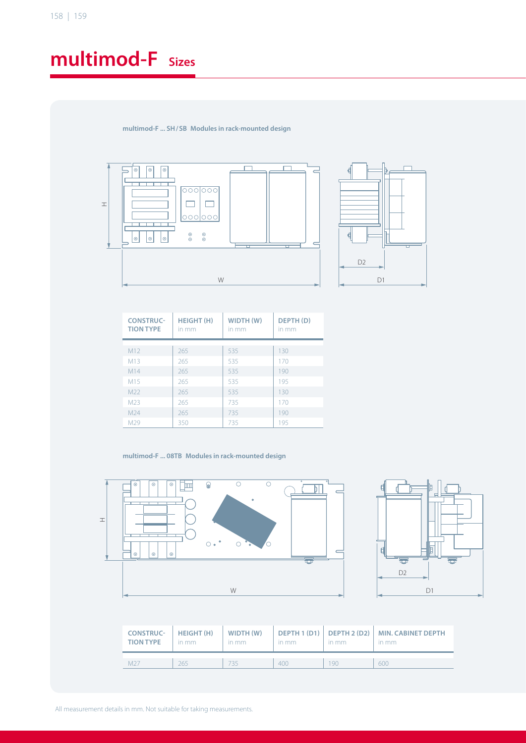## **multimod-F sizes**

**multimod-F ... sh / sB modules in rack-mounted design**





| <b>CONSTRUC-</b><br><b>TION TYPE</b> | <b>HEIGHT (H)</b><br>in mm | WIDTH (W)<br>in mm | DEPTH (D)<br>in mm |
|--------------------------------------|----------------------------|--------------------|--------------------|
|                                      |                            |                    |                    |
| M12                                  | 265                        | 535                | 130                |
| M13                                  | 265                        | 535                | 170                |
| M14                                  | 265                        | 535                | 190                |
| M15                                  | 265                        | 535                | 195                |
| M <sub>22</sub>                      | 265                        | 535                | 130                |
| M <sub>23</sub>                      | 265                        | 735                | 170                |
| M <sub>24</sub>                      | 265                        | 735                | 190                |
| M <sub>29</sub>                      | 350                        | 735                | 195                |

#### multimod-F ... 08TB Modules in rack-mounted design





| <b>CONSTRUC-</b><br><b>TION TYPE</b> | HEIGHT (H)<br>in mm | WIDTH (W)<br>in mm | in mm | in mm | DEPTH 1 (D1)   DEPTH 2 (D2)   MIN. CABINET DEPTH<br>in mm |
|--------------------------------------|---------------------|--------------------|-------|-------|-----------------------------------------------------------|
| $M2^-$                               | 265                 | 35                 | 400   | 90    | 600                                                       |

All measurement details in mm. Not suitable for taking measurements.